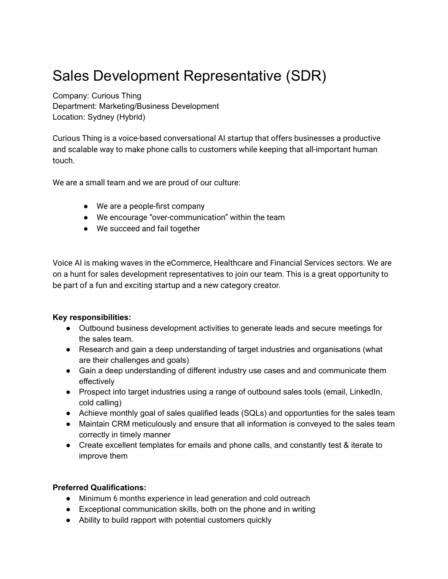## Sales Development Representative (SDR)

Company: Curious Thing Department: Marketing/Business Development Location: Sydney (Hybrid)

Curious Thing is a voice-based conversational AI startup that offers businesses a productive and scalable way to make phone calls to customers while keeping that all-important human touch.

We are a small team and we are proud of our culture:

- We are a people-first company
- We encourage "over-communication" within the team
- We succeed and fail together

Voice AI is making waves in the eCommerce, Healthcare and Financial Services sectors. We are on a hunt for sales development representatives to join our team. This is a great opportunity to be part of a fun and exciting startup and a new category creator.

## **Key responsibilities:**

- Outbound business development activities to generate leads and secure meetings for the sales team.
- Research and gain a deep understanding of target industries and organisations (what are their challenges and goals)
- Gain a deep understanding of different industry use cases and and communicate them effectively
- Prospect into target industries using a range of outbound sales tools (email, LinkedIn, cold calling)
- Achieve monthly goal of sales qualified leads (SQLs) and opportunties for the sales team
- Maintain CRM meticulously and ensure that all information is conveyed to the sales team correctly in timely manner
- Create excellent templates for emails and phone calls, and constantly test & iterate to improve them

## **Preferred Qualifications:**

- Minimum 6 months experience in lead generation and cold outreach
- Exceptional communication skills, both on the phone and in writing
- Ability to build rapport with potential customers quickly